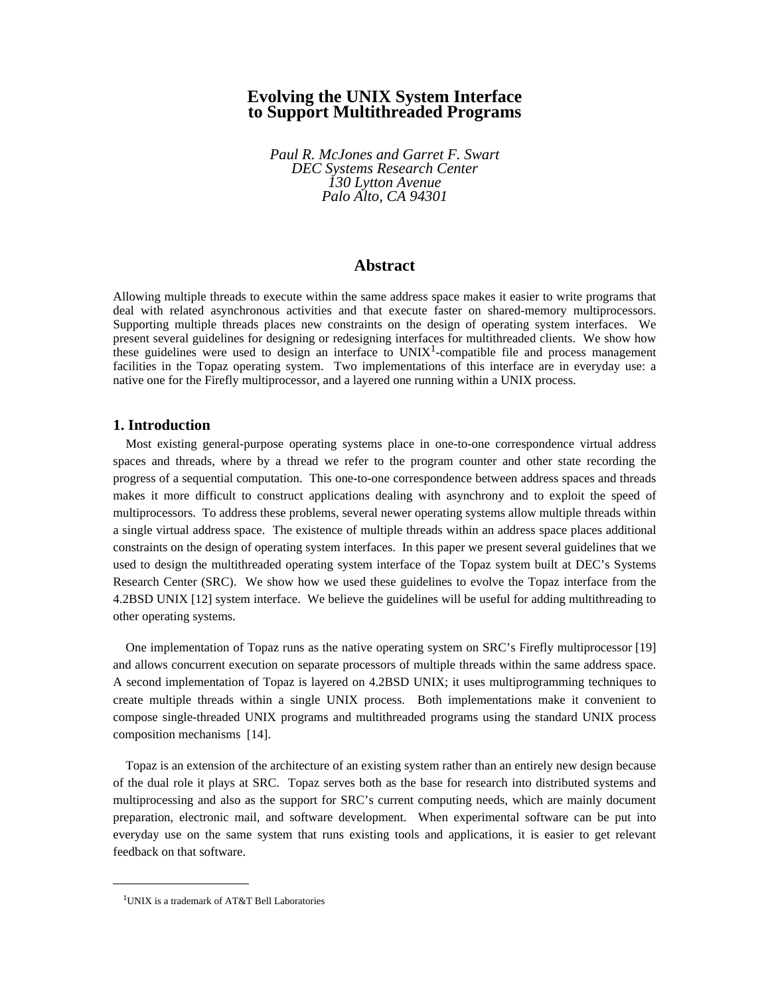# **Evolving the UNIX System Interface to Support Multithreaded Programs**

*Paul R. McJones and Garret F. Swart DEC Systems Research Center 130 Lytton Avenue Palo Alto, CA 94301*

## **Abstract**

Allowing multiple threads to execute within the same address space makes it easier to write programs that deal with related asynchronous activities and that execute faster on shared-memory multiprocessors. Supporting multiple threads places new constraints on the design of operating system interfaces. We present several guidelines for designing or redesigning interfaces for multithreaded clients. We show how these guidelines were used to design an interface to  $UNIX<sup>1</sup>$ -compatible file and process management facilities in the Topaz operating system. Two implementations of this interface are in everyday use: a native one for the Firefly multiprocessor, and a layered one running within a UNIX process.

#### **1. Introduction**

Most existing general-purpose operating systems place in one-to-one correspondence virtual address spaces and threads, where by a thread we refer to the program counter and other state recording the progress of a sequential computation. This one-to-one correspondence between address spaces and threads makes it more difficult to construct applications dealing with asynchrony and to exploit the speed of multiprocessors. To address these problems, several newer operating systems allow multiple threads within a single virtual address space. The existence of multiple threads within an address space places additional constraints on the design of operating system interfaces. In this paper we present several guidelines that we used to design the multithreaded operating system interface of the Topaz system built at DEC's Systems Research Center (SRC). We show how we used these guidelines to evolve the Topaz interface from the 4.2BSD UNIX [12] system interface. We believe the guidelines will be useful for adding multithreading to other operating systems.

One implementation of Topaz runs as the native operating system on SRC's Firefly multiprocessor [19] and allows concurrent execution on separate processors of multiple threads within the same address space. A second implementation of Topaz is layered on 4.2BSD UNIX; it uses multiprogramming techniques to create multiple threads within a single UNIX process. Both implementations make it convenient to compose single-threaded UNIX programs and multithreaded programs using the standard UNIX process composition mechanisms [14].

Topaz is an extension of the architecture of an existing system rather than an entirely new design because of the dual role it plays at SRC. Topaz serves both as the base for research into distributed systems and multiprocessing and also as the support for SRC's current computing needs, which are mainly document preparation, electronic mail, and software development. When experimental software can be put into everyday use on the same system that runs existing tools and applications, it is easier to get relevant feedback on that software.

<sup>1</sup> UNIX is a trademark of AT&T Bell Laboratories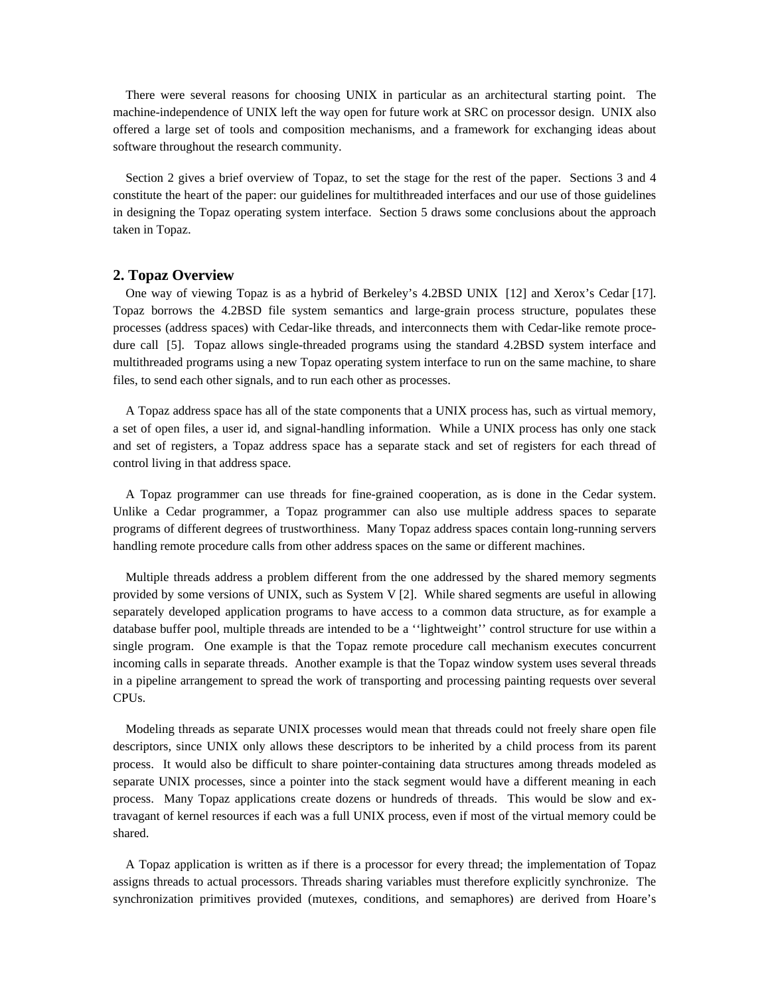There were several reasons for choosing UNIX in particular as an architectural starting point. The machine-independence of UNIX left the way open for future work at SRC on processor design. UNIX also offered a large set of tools and composition mechanisms, and a framework for exchanging ideas about software throughout the research community.

Section 2 gives a brief overview of Topaz, to set the stage for the rest of the paper. Sections 3 and 4 constitute the heart of the paper: our guidelines for multithreaded interfaces and our use of those guidelines in designing the Topaz operating system interface. Section 5 draws some conclusions about the approach taken in Topaz.

## **2. Topaz Overview**

One way of viewing Topaz is as a hybrid of Berkeley's 4.2BSD UNIX [12] and Xerox's Cedar [17]. Topaz borrows the 4.2BSD file system semantics and large-grain process structure, populates these processes (address spaces) with Cedar-like threads, and interconnects them with Cedar-like remote procedure call [5]. Topaz allows single-threaded programs using the standard 4.2BSD system interface and multithreaded programs using a new Topaz operating system interface to run on the same machine, to share files, to send each other signals, and to run each other as processes.

A Topaz address space has all of the state components that a UNIX process has, such as virtual memory, a set of open files, a user id, and signal-handling information. While a UNIX process has only one stack and set of registers, a Topaz address space has a separate stack and set of registers for each thread of control living in that address space.

A Topaz programmer can use threads for fine-grained cooperation, as is done in the Cedar system. Unlike a Cedar programmer, a Topaz programmer can also use multiple address spaces to separate programs of different degrees of trustworthiness. Many Topaz address spaces contain long-running servers handling remote procedure calls from other address spaces on the same or different machines.

Multiple threads address a problem different from the one addressed by the shared memory segments provided by some versions of UNIX, such as System V [2]. While shared segments are useful in allowing separately developed application programs to have access to a common data structure, as for example a database buffer pool, multiple threads are intended to be a ''lightweight'' control structure for use within a single program. One example is that the Topaz remote procedure call mechanism executes concurrent incoming calls in separate threads. Another example is that the Topaz window system uses several threads in a pipeline arrangement to spread the work of transporting and processing painting requests over several CPUs.

Modeling threads as separate UNIX processes would mean that threads could not freely share open file descriptors, since UNIX only allows these descriptors to be inherited by a child process from its parent process. It would also be difficult to share pointer-containing data structures among threads modeled as separate UNIX processes, since a pointer into the stack segment would have a different meaning in each process. Many Topaz applications create dozens or hundreds of threads. This would be slow and extravagant of kernel resources if each was a full UNIX process, even if most of the virtual memory could be shared.

A Topaz application is written as if there is a processor for every thread; the implementation of Topaz assigns threads to actual processors. Threads sharing variables must therefore explicitly synchronize. The synchronization primitives provided (mutexes, conditions, and semaphores) are derived from Hoare's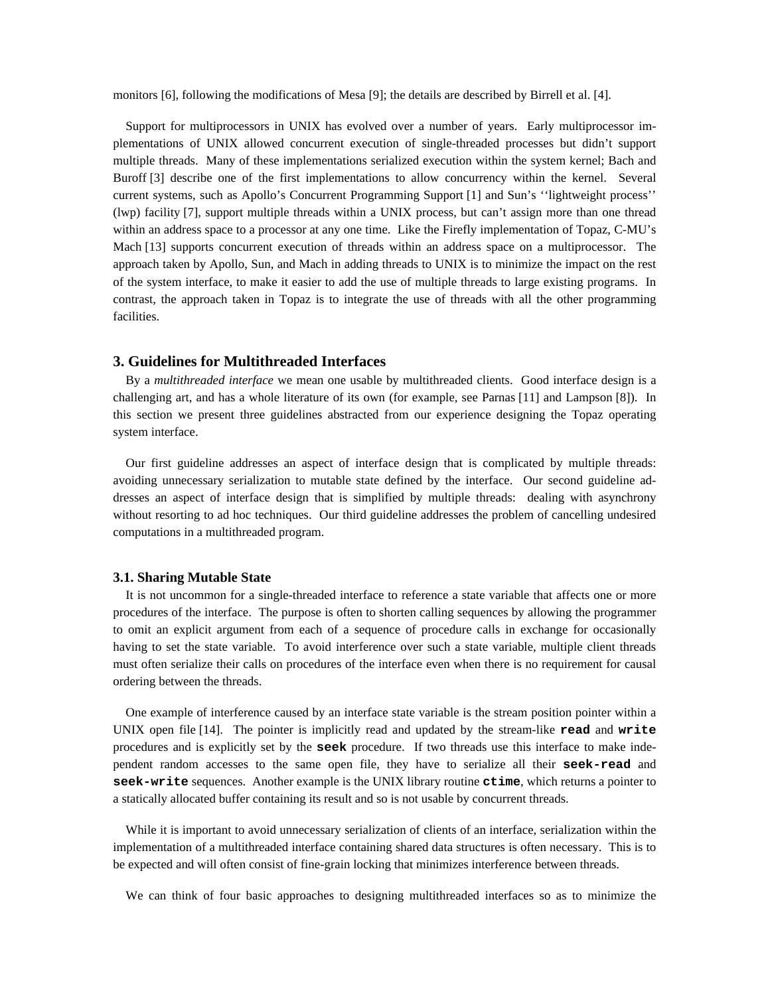monitors [6], following the modifications of Mesa [9]; the details are described by Birrell et al. [4].

Support for multiprocessors in UNIX has evolved over a number of years. Early multiprocessor implementations of UNIX allowed concurrent execution of single-threaded processes but didn't support multiple threads. Many of these implementations serialized execution within the system kernel; Bach and Buroff [3] describe one of the first implementations to allow concurrency within the kernel. Several current systems, such as Apollo's Concurrent Programming Support [1] and Sun's ''lightweight process'' (lwp) facility [7], support multiple threads within a UNIX process, but can't assign more than one thread within an address space to a processor at any one time. Like the Firefly implementation of Topaz, C-MU's Mach [13] supports concurrent execution of threads within an address space on a multiprocessor. The approach taken by Apollo, Sun, and Mach in adding threads to UNIX is to minimize the impact on the rest of the system interface, to make it easier to add the use of multiple threads to large existing programs. In contrast, the approach taken in Topaz is to integrate the use of threads with all the other programming facilities.

## **3. Guidelines for Multithreaded Interfaces**

By a *multithreaded interface* we mean one usable by multithreaded clients. Good interface design is a challenging art, and has a whole literature of its own (for example, see Parnas [11] and Lampson [8]). In this section we present three guidelines abstracted from our experience designing the Topaz operating system interface.

Our first guideline addresses an aspect of interface design that is complicated by multiple threads: avoiding unnecessary serialization to mutable state defined by the interface. Our second guideline addresses an aspect of interface design that is simplified by multiple threads: dealing with asynchrony without resorting to ad hoc techniques. Our third guideline addresses the problem of cancelling undesired computations in a multithreaded program.

#### **3.1. Sharing Mutable State**

It is not uncommon for a single-threaded interface to reference a state variable that affects one or more procedures of the interface. The purpose is often to shorten calling sequences by allowing the programmer to omit an explicit argument from each of a sequence of procedure calls in exchange for occasionally having to set the state variable. To avoid interference over such a state variable, multiple client threads must often serialize their calls on procedures of the interface even when there is no requirement for causal ordering between the threads.

One example of interference caused by an interface state variable is the stream position pointer within a UNIX open file [14]. The pointer is implicitly read and updated by the stream-like **read** and **write** procedures and is explicitly set by the **seek** procedure. If two threads use this interface to make independent random accesses to the same open file, they have to serialize all their **seek-read** and **seek-write** sequences. Another example is the UNIX library routine **ctime**, which returns a pointer to a statically allocated buffer containing its result and so is not usable by concurrent threads.

While it is important to avoid unnecessary serialization of clients of an interface, serialization within the implementation of a multithreaded interface containing shared data structures is often necessary. This is to be expected and will often consist of fine-grain locking that minimizes interference between threads.

We can think of four basic approaches to designing multithreaded interfaces so as to minimize the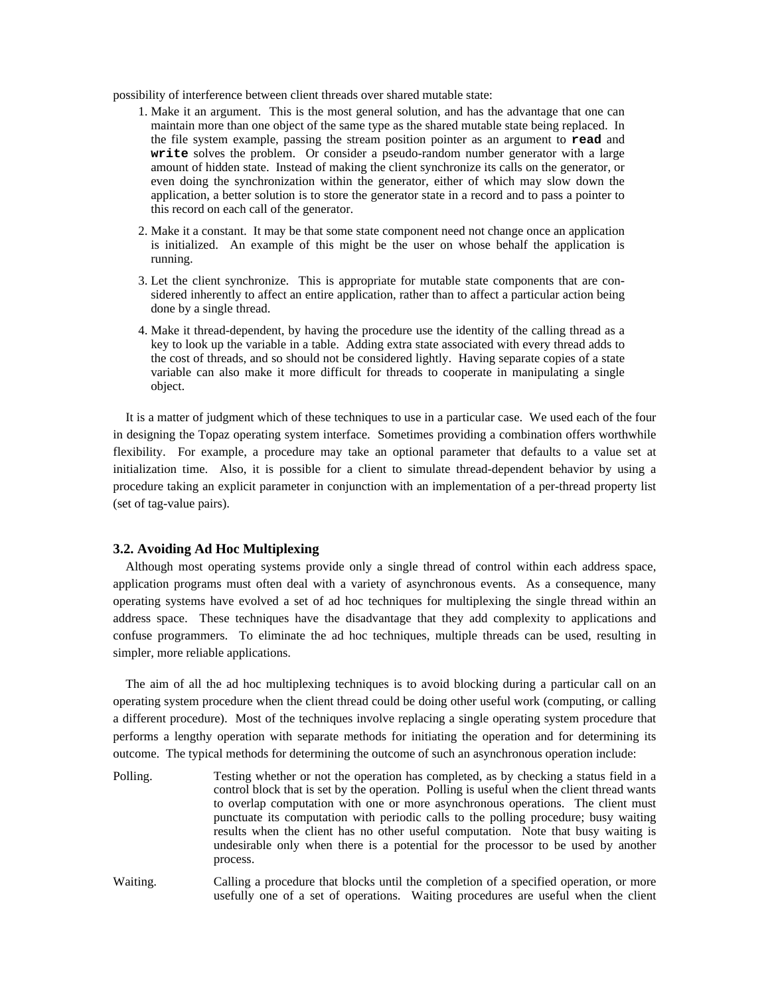possibility of interference between client threads over shared mutable state:

- 1. Make it an argument. This is the most general solution, and has the advantage that one can maintain more than one object of the same type as the shared mutable state being replaced. In the file system example, passing the stream position pointer as an argument to **read** and **write** solves the problem. Or consider a pseudo-random number generator with a large amount of hidden state. Instead of making the client synchronize its calls on the generator, or even doing the synchronization within the generator, either of which may slow down the application, a better solution is to store the generator state in a record and to pass a pointer to this record on each call of the generator.
- 2. Make it a constant. It may be that some state component need not change once an application is initialized. An example of this might be the user on whose behalf the application is running.
- 3. Let the client synchronize. This is appropriate for mutable state components that are considered inherently to affect an entire application, rather than to affect a particular action being done by a single thread.
- 4. Make it thread-dependent, by having the procedure use the identity of the calling thread as a key to look up the variable in a table. Adding extra state associated with every thread adds to the cost of threads, and so should not be considered lightly. Having separate copies of a state variable can also make it more difficult for threads to cooperate in manipulating a single object.

It is a matter of judgment which of these techniques to use in a particular case. We used each of the four in designing the Topaz operating system interface. Sometimes providing a combination offers worthwhile flexibility. For example, a procedure may take an optional parameter that defaults to a value set at initialization time. Also, it is possible for a client to simulate thread-dependent behavior by using a procedure taking an explicit parameter in conjunction with an implementation of a per-thread property list (set of tag-value pairs).

## **3.2. Avoiding Ad Hoc Multiplexing**

Although most operating systems provide only a single thread of control within each address space, application programs must often deal with a variety of asynchronous events. As a consequence, many operating systems have evolved a set of ad hoc techniques for multiplexing the single thread within an address space. These techniques have the disadvantage that they add complexity to applications and confuse programmers. To eliminate the ad hoc techniques, multiple threads can be used, resulting in simpler, more reliable applications.

The aim of all the ad hoc multiplexing techniques is to avoid blocking during a particular call on an operating system procedure when the client thread could be doing other useful work (computing, or calling a different procedure). Most of the techniques involve replacing a single operating system procedure that performs a lengthy operation with separate methods for initiating the operation and for determining its outcome. The typical methods for determining the outcome of such an asynchronous operation include:

- Polling. Testing whether or not the operation has completed, as by checking a status field in a control block that is set by the operation. Polling is useful when the client thread wants to overlap computation with one or more asynchronous operations. The client must punctuate its computation with periodic calls to the polling procedure; busy waiting results when the client has no other useful computation. Note that busy waiting is undesirable only when there is a potential for the processor to be used by another process.
- Waiting. Calling a procedure that blocks until the completion of a specified operation, or more usefully one of a set of operations. Waiting procedures are useful when the client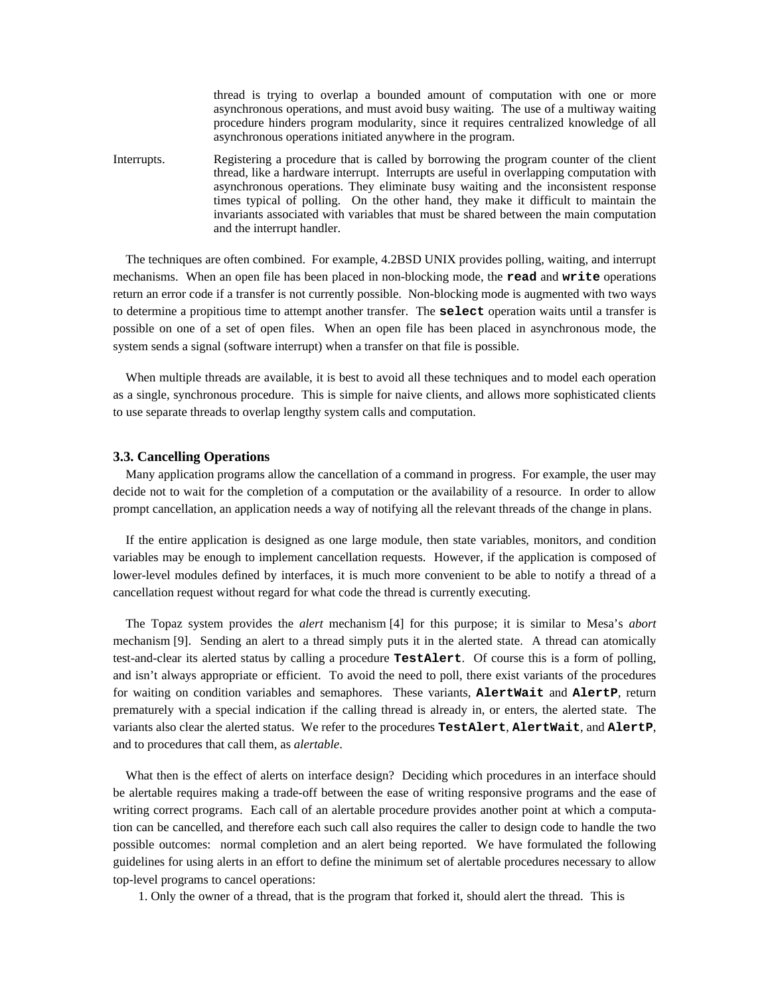thread is trying to overlap a bounded amount of computation with one or more asynchronous operations, and must avoid busy waiting. The use of a multiway waiting procedure hinders program modularity, since it requires centralized knowledge of all asynchronous operations initiated anywhere in the program.

Interrupts. Registering a procedure that is called by borrowing the program counter of the client thread, like a hardware interrupt. Interrupts are useful in overlapping computation with asynchronous operations. They eliminate busy waiting and the inconsistent response times typical of polling. On the other hand, they make it difficult to maintain the invariants associated with variables that must be shared between the main computation and the interrupt handler.

The techniques are often combined. For example, 4.2BSD UNIX provides polling, waiting, and interrupt mechanisms. When an open file has been placed in non-blocking mode, the **read** and **write** operations return an error code if a transfer is not currently possible. Non-blocking mode is augmented with two ways to determine a propitious time to attempt another transfer. The **select** operation waits until a transfer is possible on one of a set of open files. When an open file has been placed in asynchronous mode, the system sends a signal (software interrupt) when a transfer on that file is possible.

When multiple threads are available, it is best to avoid all these techniques and to model each operation as a single, synchronous procedure. This is simple for naive clients, and allows more sophisticated clients to use separate threads to overlap lengthy system calls and computation.

## **3.3. Cancelling Operations**

Many application programs allow the cancellation of a command in progress. For example, the user may decide not to wait for the completion of a computation or the availability of a resource. In order to allow prompt cancellation, an application needs a way of notifying all the relevant threads of the change in plans.

If the entire application is designed as one large module, then state variables, monitors, and condition variables may be enough to implement cancellation requests. However, if the application is composed of lower-level modules defined by interfaces, it is much more convenient to be able to notify a thread of a cancellation request without regard for what code the thread is currently executing.

The Topaz system provides the *alert* mechanism [4] for this purpose; it is similar to Mesa's *abort* mechanism [9]. Sending an alert to a thread simply puts it in the alerted state. A thread can atomically test-and-clear its alerted status by calling a procedure **TestAlert**. Of course this is a form of polling, and isn't always appropriate or efficient. To avoid the need to poll, there exist variants of the procedures for waiting on condition variables and semaphores. These variants, **AlertWait** and **AlertP**, return prematurely with a special indication if the calling thread is already in, or enters, the alerted state. The variants also clear the alerted status. We refer to the procedures **TestAlert**, **AlertWait**, and **AlertP**, and to procedures that call them, as *alertable*.

What then is the effect of alerts on interface design? Deciding which procedures in an interface should be alertable requires making a trade-off between the ease of writing responsive programs and the ease of writing correct programs. Each call of an alertable procedure provides another point at which a computation can be cancelled, and therefore each such call also requires the caller to design code to handle the two possible outcomes: normal completion and an alert being reported. We have formulated the following guidelines for using alerts in an effort to define the minimum set of alertable procedures necessary to allow top-level programs to cancel operations:

1. Only the owner of a thread, that is the program that forked it, should alert the thread. This is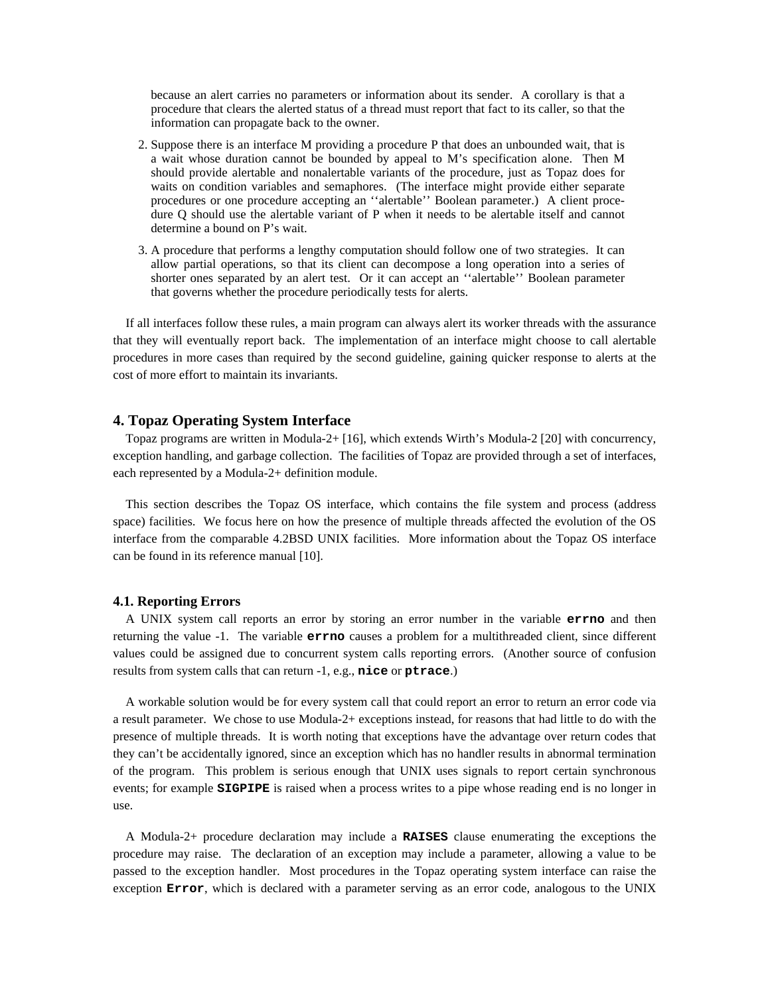because an alert carries no parameters or information about its sender. A corollary is that a procedure that clears the alerted status of a thread must report that fact to its caller, so that the information can propagate back to the owner.

- 2. Suppose there is an interface M providing a procedure P that does an unbounded wait, that is a wait whose duration cannot be bounded by appeal to M's specification alone. Then M should provide alertable and nonalertable variants of the procedure, just as Topaz does for waits on condition variables and semaphores. (The interface might provide either separate procedures or one procedure accepting an ''alertable'' Boolean parameter.) A client procedure Q should use the alertable variant of P when it needs to be alertable itself and cannot determine a bound on P's wait.
- 3. A procedure that performs a lengthy computation should follow one of two strategies. It can allow partial operations, so that its client can decompose a long operation into a series of shorter ones separated by an alert test. Or it can accept an ''alertable'' Boolean parameter that governs whether the procedure periodically tests for alerts.

If all interfaces follow these rules, a main program can always alert its worker threads with the assurance that they will eventually report back. The implementation of an interface might choose to call alertable procedures in more cases than required by the second guideline, gaining quicker response to alerts at the cost of more effort to maintain its invariants.

## **4. Topaz Operating System Interface**

Topaz programs are written in Modula-2+ [16], which extends Wirth's Modula-2 [20] with concurrency, exception handling, and garbage collection. The facilities of Topaz are provided through a set of interfaces, each represented by a Modula-2+ definition module.

This section describes the Topaz OS interface, which contains the file system and process (address space) facilities. We focus here on how the presence of multiple threads affected the evolution of the OS interface from the comparable 4.2BSD UNIX facilities. More information about the Topaz OS interface can be found in its reference manual [10].

#### **4.1. Reporting Errors**

A UNIX system call reports an error by storing an error number in the variable **errno** and then returning the value -1. The variable **errno** causes a problem for a multithreaded client, since different values could be assigned due to concurrent system calls reporting errors. (Another source of confusion results from system calls that can return -1, e.g., **nice** or **ptrace**.)

A workable solution would be for every system call that could report an error to return an error code via a result parameter. We chose to use Modula-2+ exceptions instead, for reasons that had little to do with the presence of multiple threads. It is worth noting that exceptions have the advantage over return codes that they can't be accidentally ignored, since an exception which has no handler results in abnormal termination of the program. This problem is serious enough that UNIX uses signals to report certain synchronous events; for example **SIGPIPE** is raised when a process writes to a pipe whose reading end is no longer in use.

A Modula-2+ procedure declaration may include a **RAISES** clause enumerating the exceptions the procedure may raise. The declaration of an exception may include a parameter, allowing a value to be passed to the exception handler. Most procedures in the Topaz operating system interface can raise the exception **Error**, which is declared with a parameter serving as an error code, analogous to the UNIX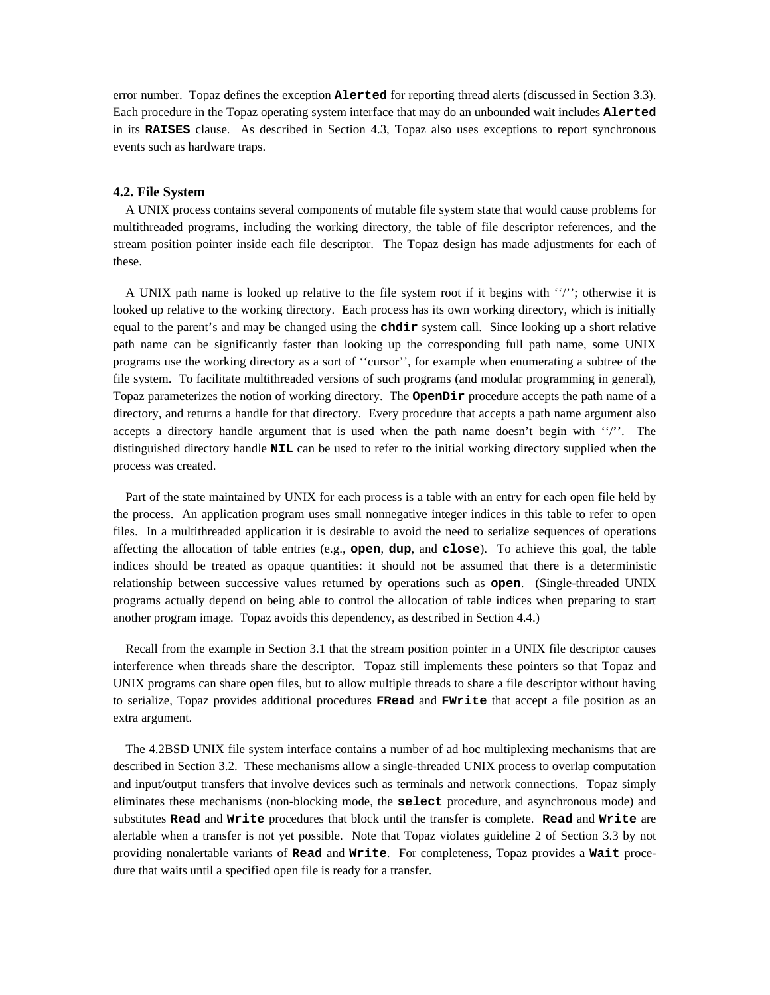error number. Topaz defines the exception **Alerted** for reporting thread alerts (discussed in Section 3.3). Each procedure in the Topaz operating system interface that may do an unbounded wait includes **Alerted** in its **RAISES** clause. As described in Section 4.3, Topaz also uses exceptions to report synchronous events such as hardware traps.

#### **4.2. File System**

A UNIX process contains several components of mutable file system state that would cause problems for multithreaded programs, including the working directory, the table of file descriptor references, and the stream position pointer inside each file descriptor. The Topaz design has made adjustments for each of these.

A UNIX path name is looked up relative to the file system root if it begins with ''/''; otherwise it is looked up relative to the working directory. Each process has its own working directory, which is initially equal to the parent's and may be changed using the **chdir** system call. Since looking up a short relative path name can be significantly faster than looking up the corresponding full path name, some UNIX programs use the working directory as a sort of ''cursor'', for example when enumerating a subtree of the file system. To facilitate multithreaded versions of such programs (and modular programming in general), Topaz parameterizes the notion of working directory. The **OpenDir** procedure accepts the path name of a directory, and returns a handle for that directory. Every procedure that accepts a path name argument also accepts a directory handle argument that is used when the path name doesn't begin with ''/''. The distinguished directory handle **NIL** can be used to refer to the initial working directory supplied when the process was created.

Part of the state maintained by UNIX for each process is a table with an entry for each open file held by the process. An application program uses small nonnegative integer indices in this table to refer to open files. In a multithreaded application it is desirable to avoid the need to serialize sequences of operations affecting the allocation of table entries (e.g., **open**, **dup**, and **close**). To achieve this goal, the table indices should be treated as opaque quantities: it should not be assumed that there is a deterministic relationship between successive values returned by operations such as **open**. (Single-threaded UNIX programs actually depend on being able to control the allocation of table indices when preparing to start another program image. Topaz avoids this dependency, as described in Section 4.4.)

Recall from the example in Section 3.1 that the stream position pointer in a UNIX file descriptor causes interference when threads share the descriptor. Topaz still implements these pointers so that Topaz and UNIX programs can share open files, but to allow multiple threads to share a file descriptor without having to serialize, Topaz provides additional procedures **FRead** and **FWrite** that accept a file position as an extra argument.

The 4.2BSD UNIX file system interface contains a number of ad hoc multiplexing mechanisms that are described in Section 3.2. These mechanisms allow a single-threaded UNIX process to overlap computation and input/output transfers that involve devices such as terminals and network connections. Topaz simply eliminates these mechanisms (non-blocking mode, the **select** procedure, and asynchronous mode) and substitutes **Read** and **Write** procedures that block until the transfer is complete. **Read** and **Write** are alertable when a transfer is not yet possible. Note that Topaz violates guideline 2 of Section 3.3 by not providing nonalertable variants of **Read** and **Write**. For completeness, Topaz provides a **Wait** procedure that waits until a specified open file is ready for a transfer.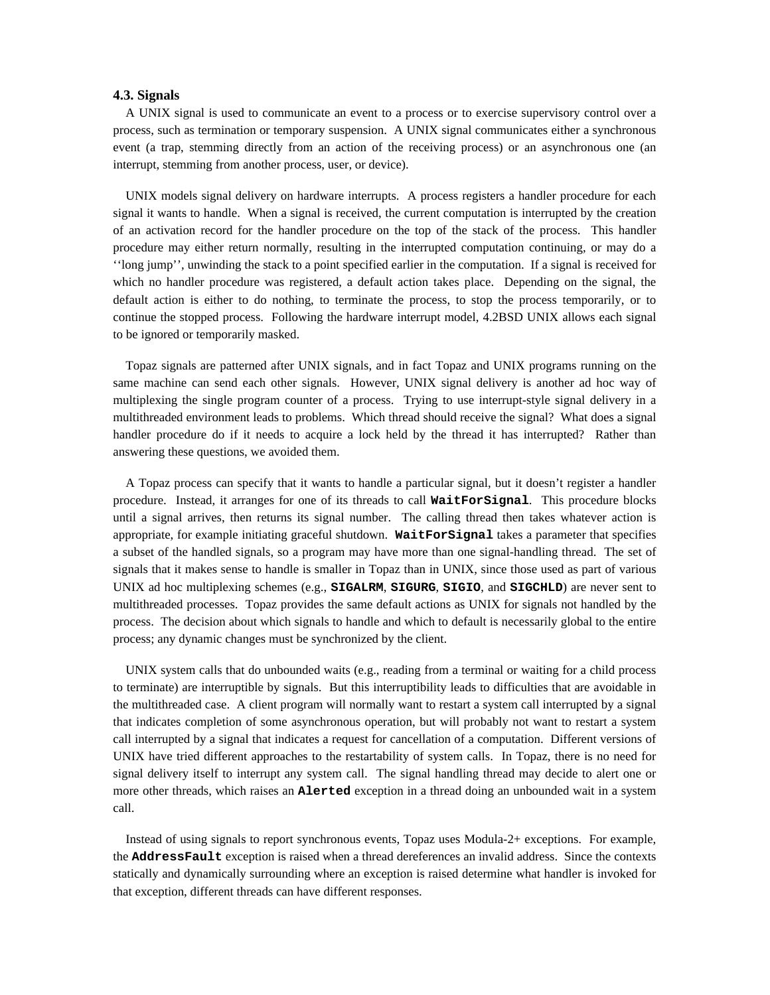## **4.3. Signals**

A UNIX signal is used to communicate an event to a process or to exercise supervisory control over a process, such as termination or temporary suspension. A UNIX signal communicates either a synchronous event (a trap, stemming directly from an action of the receiving process) or an asynchronous one (an interrupt, stemming from another process, user, or device).

UNIX models signal delivery on hardware interrupts. A process registers a handler procedure for each signal it wants to handle. When a signal is received, the current computation is interrupted by the creation of an activation record for the handler procedure on the top of the stack of the process. This handler procedure may either return normally, resulting in the interrupted computation continuing, or may do a ''long jump'', unwinding the stack to a point specified earlier in the computation. If a signal is received for which no handler procedure was registered, a default action takes place. Depending on the signal, the default action is either to do nothing, to terminate the process, to stop the process temporarily, or to continue the stopped process. Following the hardware interrupt model, 4.2BSD UNIX allows each signal to be ignored or temporarily masked.

Topaz signals are patterned after UNIX signals, and in fact Topaz and UNIX programs running on the same machine can send each other signals. However, UNIX signal delivery is another ad hoc way of multiplexing the single program counter of a process. Trying to use interrupt-style signal delivery in a multithreaded environment leads to problems. Which thread should receive the signal? What does a signal handler procedure do if it needs to acquire a lock held by the thread it has interrupted? Rather than answering these questions, we avoided them.

A Topaz process can specify that it wants to handle a particular signal, but it doesn't register a handler procedure. Instead, it arranges for one of its threads to call **WaitForSignal**. This procedure blocks until a signal arrives, then returns its signal number. The calling thread then takes whatever action is appropriate, for example initiating graceful shutdown. **WaitForSignal** takes a parameter that specifies a subset of the handled signals, so a program may have more than one signal-handling thread. The set of signals that it makes sense to handle is smaller in Topaz than in UNIX, since those used as part of various UNIX ad hoc multiplexing schemes (e.g., **SIGALRM**, **SIGURG**, **SIGIO**, and **SIGCHLD**) are never sent to multithreaded processes. Topaz provides the same default actions as UNIX for signals not handled by the process. The decision about which signals to handle and which to default is necessarily global to the entire process; any dynamic changes must be synchronized by the client.

UNIX system calls that do unbounded waits (e.g., reading from a terminal or waiting for a child process to terminate) are interruptible by signals. But this interruptibility leads to difficulties that are avoidable in the multithreaded case. A client program will normally want to restart a system call interrupted by a signal that indicates completion of some asynchronous operation, but will probably not want to restart a system call interrupted by a signal that indicates a request for cancellation of a computation. Different versions of UNIX have tried different approaches to the restartability of system calls. In Topaz, there is no need for signal delivery itself to interrupt any system call. The signal handling thread may decide to alert one or more other threads, which raises an **Alerted** exception in a thread doing an unbounded wait in a system call.

Instead of using signals to report synchronous events, Topaz uses Modula-2+ exceptions. For example, the **AddressFault** exception is raised when a thread dereferences an invalid address. Since the contexts statically and dynamically surrounding where an exception is raised determine what handler is invoked for that exception, different threads can have different responses.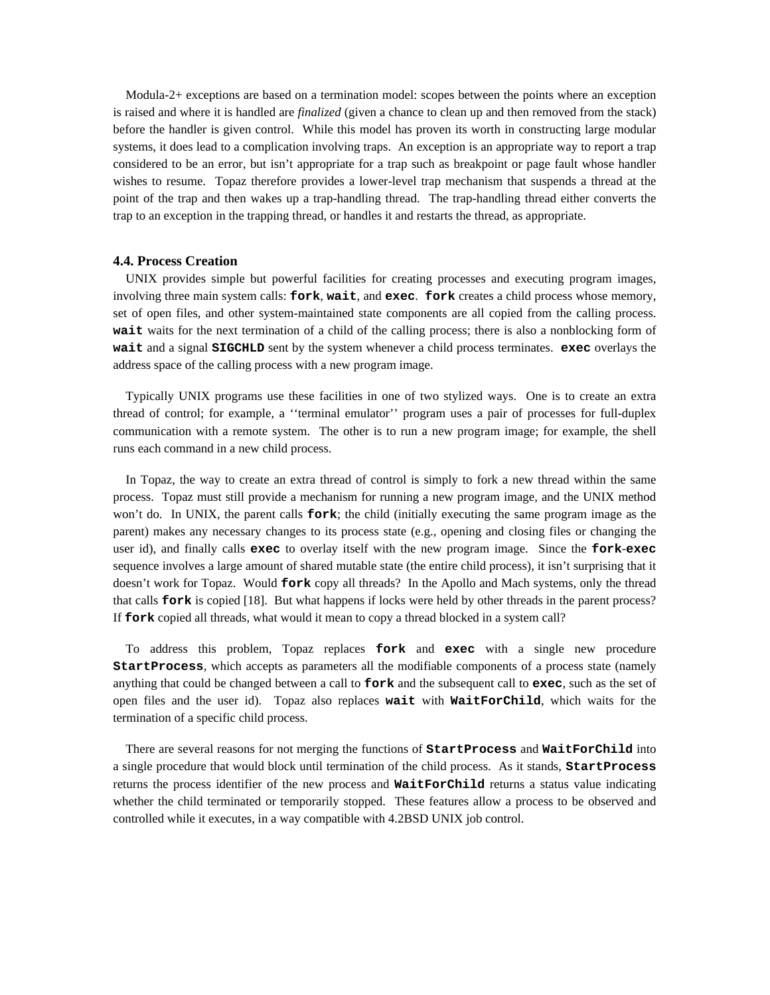Modula-2+ exceptions are based on a termination model: scopes between the points where an exception is raised and where it is handled are *finalized* (given a chance to clean up and then removed from the stack) before the handler is given control. While this model has proven its worth in constructing large modular systems, it does lead to a complication involving traps. An exception is an appropriate way to report a trap considered to be an error, but isn't appropriate for a trap such as breakpoint or page fault whose handler wishes to resume. Topaz therefore provides a lower-level trap mechanism that suspends a thread at the point of the trap and then wakes up a trap-handling thread. The trap-handling thread either converts the trap to an exception in the trapping thread, or handles it and restarts the thread, as appropriate.

#### **4.4. Process Creation**

UNIX provides simple but powerful facilities for creating processes and executing program images, involving three main system calls: **fork**, **wait**, and **exec**. **fork** creates a child process whose memory, set of open files, and other system-maintained state components are all copied from the calling process. **wait** waits for the next termination of a child of the calling process; there is also a nonblocking form of **wait** and a signal **SIGCHLD** sent by the system whenever a child process terminates. **exec** overlays the address space of the calling process with a new program image.

Typically UNIX programs use these facilities in one of two stylized ways. One is to create an extra thread of control; for example, a ''terminal emulator'' program uses a pair of processes for full-duplex communication with a remote system. The other is to run a new program image; for example, the shell runs each command in a new child process.

In Topaz, the way to create an extra thread of control is simply to fork a new thread within the same process. Topaz must still provide a mechanism for running a new program image, and the UNIX method won't do. In UNIX, the parent calls **fork**; the child (initially executing the same program image as the parent) makes any necessary changes to its process state (e.g., opening and closing files or changing the user id), and finally calls **exec** to overlay itself with the new program image. Since the **fork**-**exec** sequence involves a large amount of shared mutable state (the entire child process), it isn't surprising that it doesn't work for Topaz. Would **fork** copy all threads? In the Apollo and Mach systems, only the thread that calls **fork** is copied [18]. But what happens if locks were held by other threads in the parent process? If **fork** copied all threads, what would it mean to copy a thread blocked in a system call?

To address this problem, Topaz replaces **fork** and **exec** with a single new procedure **StartProcess**, which accepts as parameters all the modifiable components of a process state (namely anything that could be changed between a call to **fork** and the subsequent call to **exec**, such as the set of open files and the user id). Topaz also replaces **wait** with **WaitForChild**, which waits for the termination of a specific child process.

There are several reasons for not merging the functions of **StartProcess** and **WaitForChild** into a single procedure that would block until termination of the child process. As it stands, **StartProcess** returns the process identifier of the new process and **WaitForChild** returns a status value indicating whether the child terminated or temporarily stopped. These features allow a process to be observed and controlled while it executes, in a way compatible with 4.2BSD UNIX job control.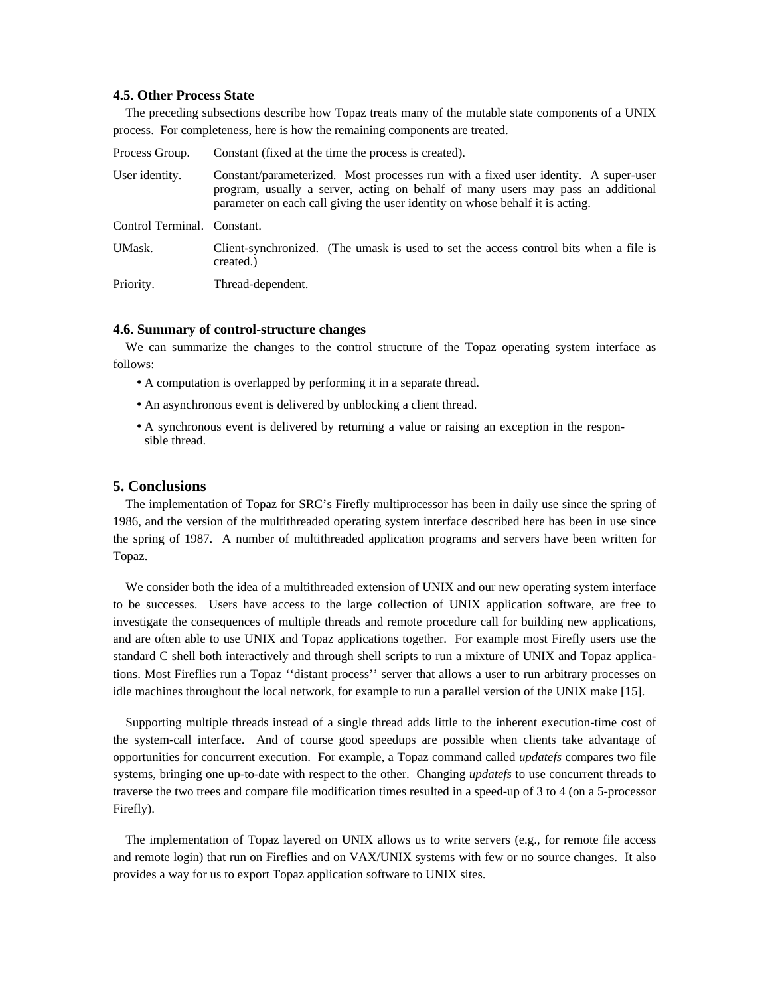## **4.5. Other Process State**

The preceding subsections describe how Topaz treats many of the mutable state components of a UNIX process. For completeness, here is how the remaining components are treated.

| Process Group.              | Constant (fixed at the time the process is created).                                                                                                                                                                                                     |
|-----------------------------|----------------------------------------------------------------------------------------------------------------------------------------------------------------------------------------------------------------------------------------------------------|
| User identity.              | Constant/parameterized. Most processes run with a fixed user identity. A super-user<br>program, usually a server, acting on behalf of many users may pass an additional<br>parameter on each call giving the user identity on whose behalf it is acting. |
| Control Terminal. Constant. |                                                                                                                                                                                                                                                          |
| UMask.                      | Client-synchronized. (The umask is used to set the access control bits when a file is<br>created.)                                                                                                                                                       |
| Priority.                   | Thread-dependent.                                                                                                                                                                                                                                        |

#### **4.6. Summary of control-structure changes**

We can summarize the changes to the control structure of the Topaz operating system interface as follows:

- A computation is overlapped by performing it in a separate thread.
- An asynchronous event is delivered by unblocking a client thread.
- A synchronous event is delivered by returning a value or raising an exception in the responsible thread.

## **5. Conclusions**

The implementation of Topaz for SRC's Firefly multiprocessor has been in daily use since the spring of 1986, and the version of the multithreaded operating system interface described here has been in use since the spring of 1987. A number of multithreaded application programs and servers have been written for Topaz.

We consider both the idea of a multithreaded extension of UNIX and our new operating system interface to be successes. Users have access to the large collection of UNIX application software, are free to investigate the consequences of multiple threads and remote procedure call for building new applications, and are often able to use UNIX and Topaz applications together. For example most Firefly users use the standard C shell both interactively and through shell scripts to run a mixture of UNIX and Topaz applications. Most Fireflies run a Topaz ''distant process'' server that allows a user to run arbitrary processes on idle machines throughout the local network, for example to run a parallel version of the UNIX make [15].

Supporting multiple threads instead of a single thread adds little to the inherent execution-time cost of the system-call interface. And of course good speedups are possible when clients take advantage of opportunities for concurrent execution. For example, a Topaz command called *updatefs* compares two file systems, bringing one up-to-date with respect to the other. Changing *updatefs* to use concurrent threads to traverse the two trees and compare file modification times resulted in a speed-up of 3 to 4 (on a 5-processor Firefly).

The implementation of Topaz layered on UNIX allows us to write servers (e.g., for remote file access and remote login) that run on Fireflies and on VAX/UNIX systems with few or no source changes. It also provides a way for us to export Topaz application software to UNIX sites.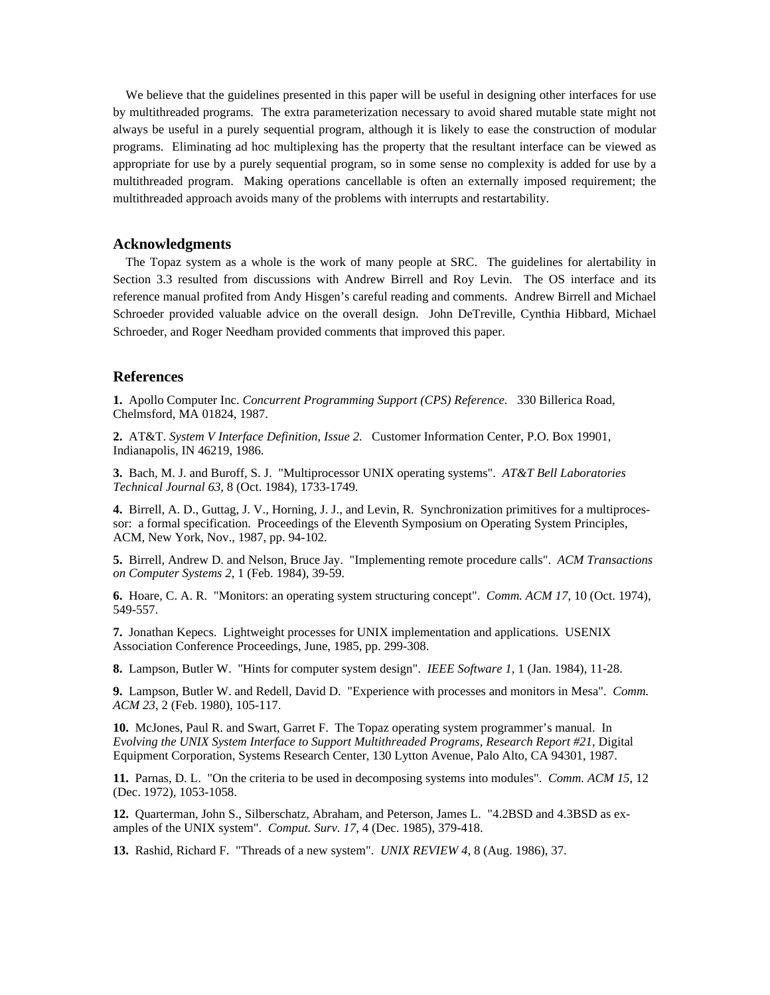We believe that the guidelines presented in this paper will be useful in designing other interfaces for use by multithreaded programs. The extra parameterization necessary to avoid shared mutable state might not always be useful in a purely sequential program, although it is likely to ease the construction of modular programs. Eliminating ad hoc multiplexing has the property that the resultant interface can be viewed as appropriate for use by a purely sequential program, so in some sense no complexity is added for use by a multithreaded program. Making operations cancellable is often an externally imposed requirement; the multithreaded approach avoids many of the problems with interrupts and restartability.

## **Acknowledgments**

The Topaz system as a whole is the work of many people at SRC. The guidelines for alertability in Section 3.3 resulted from discussions with Andrew Birrell and Roy Levin. The OS interface and its reference manual profited from Andy Hisgen's careful reading and comments. Andrew Birrell and Michael Schroeder provided valuable advice on the overall design. John DeTreville, Cynthia Hibbard, Michael Schroeder, and Roger Needham provided comments that improved this paper.

## **References**

**1.** Apollo Computer Inc. *Concurrent Programming Support (CPS) Reference.* 330 Billerica Road, Chelmsford, MA 01824, 1987.

**2.** AT&T. *System V Interface Definition, Issue 2.* Customer Information Center, P.O. Box 19901, Indianapolis, IN 46219, 1986.

**3.** Bach, M. J. and Buroff, S. J. "Multiprocessor UNIX operating systems". *AT&T Bell Laboratories Technical Journal 63*, 8 (Oct. 1984), 1733-1749.

**4.** Birrell, A. D., Guttag, J. V., Horning, J. J., and Levin, R. Synchronization primitives for a multiprocessor: a formal specification. Proceedings of the Eleventh Symposium on Operating System Principles, ACM, New York, Nov., 1987, pp. 94-102.

**5.** Birrell, Andrew D. and Nelson, Bruce Jay. "Implementing remote procedure calls". *ACM Transactions on Computer Systems 2*, 1 (Feb. 1984), 39-59.

**6.** Hoare, C. A. R. "Monitors: an operating system structuring concept". *Comm. ACM 17*, 10 (Oct. 1974), 549-557.

**7.** Jonathan Kepecs. Lightweight processes for UNIX implementation and applications. USENIX Association Conference Proceedings, June, 1985, pp. 299-308.

**8.** Lampson, Butler W. "Hints for computer system design". *IEEE Software 1*, 1 (Jan. 1984), 11-28.

**9.** Lampson, Butler W. and Redell, David D. "Experience with processes and monitors in Mesa". *Comm. ACM 23*, 2 (Feb. 1980), 105-117.

**10.** McJones, Paul R. and Swart, Garret F. The Topaz operating system programmer's manual. In *Evolving the UNIX System Interface to Support Multithreaded Programs, Research Report #21*, Digital Equipment Corporation, Systems Research Center, 130 Lytton Avenue, Palo Alto, CA 94301, 1987.

**11.** Parnas, D. L. "On the criteria to be used in decomposing systems into modules". *Comm. ACM 15*, 12 (Dec. 1972), 1053-1058.

**12.** Quarterman, John S., Silberschatz, Abraham, and Peterson, James L. "4.2BSD and 4.3BSD as examples of the UNIX system". *Comput. Surv. 17*, 4 (Dec. 1985), 379-418.

**13.** Rashid, Richard F. "Threads of a new system". *UNIX REVIEW 4*, 8 (Aug. 1986), 37.